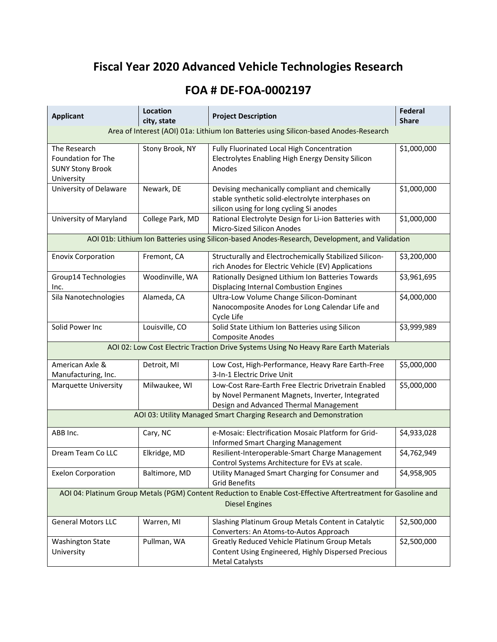## **Fiscal Year 2020 Advanced Vehicle Technologies Research**

## **FOA # DE-FOA-0002197**

| <b>Applicant</b>                                                                                                                        | Location<br>city, state                                                              | <b>Project Description</b>                                                                                                                         | <b>Federal</b><br><b>Share</b> |  |  |
|-----------------------------------------------------------------------------------------------------------------------------------------|--------------------------------------------------------------------------------------|----------------------------------------------------------------------------------------------------------------------------------------------------|--------------------------------|--|--|
| Area of Interest (AOI) 01a: Lithium Ion Batteries using Silicon-based Anodes-Research                                                   |                                                                                      |                                                                                                                                                    |                                |  |  |
| The Research<br>Foundation for The<br><b>SUNY Stony Brook</b><br>University                                                             | Stony Brook, NY                                                                      | Fully Fluorinated Local High Concentration<br>Electrolytes Enabling High Energy Density Silicon<br>Anodes                                          | \$1,000,000                    |  |  |
| University of Delaware                                                                                                                  | Newark, DE                                                                           | Devising mechanically compliant and chemically<br>stable synthetic solid-electrolyte interphases on<br>silicon using for long cycling Si anodes    | \$1,000,000                    |  |  |
| University of Maryland                                                                                                                  | College Park, MD                                                                     | Rational Electrolyte Design for Li-ion Batteries with<br>Micro-Sized Silicon Anodes                                                                | \$1,000,000                    |  |  |
| AOI 01b: Lithium Ion Batteries using Silicon-based Anodes-Research, Development, and Validation                                         |                                                                                      |                                                                                                                                                    |                                |  |  |
| <b>Enovix Corporation</b>                                                                                                               | Fremont, CA                                                                          | Structurally and Electrochemically Stabilized Silicon-<br>rich Anodes for Electric Vehicle (EV) Applications                                       | \$3,200,000                    |  |  |
| Group14 Technologies<br>Inc.                                                                                                            | Woodinville, WA                                                                      | Rationally Designed Lithium Ion Batteries Towards<br>Displacing Internal Combustion Engines                                                        | \$3,961,695                    |  |  |
| Sila Nanotechnologies                                                                                                                   | Alameda, CA                                                                          | Ultra-Low Volume Change Silicon-Dominant<br>Nanocomposite Anodes for Long Calendar Life and<br>Cycle Life                                          | \$4,000,000                    |  |  |
| Solid Power Inc                                                                                                                         | Louisville, CO                                                                       | Solid State Lithium Ion Batteries using Silicon<br><b>Composite Anodes</b>                                                                         | \$3,999,989                    |  |  |
|                                                                                                                                         | AOI 02: Low Cost Electric Traction Drive Systems Using No Heavy Rare Earth Materials |                                                                                                                                                    |                                |  |  |
| American Axle &<br>Manufacturing, Inc.                                                                                                  | Detroit, MI                                                                          | Low Cost, High-Performance, Heavy Rare Earth-Free<br>3-In-1 Electric Drive Unit                                                                    | \$5,000,000                    |  |  |
| <b>Marquette University</b>                                                                                                             | Milwaukee, WI                                                                        | Low-Cost Rare-Earth Free Electric Drivetrain Enabled<br>by Novel Permanent Magnets, Inverter, Integrated<br>Design and Advanced Thermal Management | \$5,000,000                    |  |  |
|                                                                                                                                         |                                                                                      | AOI 03: Utility Managed Smart Charging Research and Demonstration                                                                                  |                                |  |  |
| ABB Inc.                                                                                                                                | Cary, NC                                                                             | e-Mosaic: Electrification Mosaic Platform for Grid-<br><b>Informed Smart Charging Management</b>                                                   | \$4,933,028                    |  |  |
| Dream Team Co LLC                                                                                                                       | Elkridge, MD                                                                         | Resilient-Interoperable-Smart Charge Management<br>Control Systems Architecture for EVs at scale.                                                  | \$4,762,949                    |  |  |
| <b>Exelon Corporation</b>                                                                                                               | Baltimore, MD                                                                        | Utility Managed Smart Charging for Consumer and<br><b>Grid Benefits</b>                                                                            | \$4,958,905                    |  |  |
| AOI 04: Platinum Group Metals (PGM) Content Reduction to Enable Cost-Effective Aftertreatment for Gasoline and<br><b>Diesel Engines</b> |                                                                                      |                                                                                                                                                    |                                |  |  |
| <b>General Motors LLC</b>                                                                                                               | Warren, MI                                                                           | Slashing Platinum Group Metals Content in Catalytic<br>Converters: An Atoms-to-Autos Approach                                                      | \$2,500,000                    |  |  |
| <b>Washington State</b><br>University                                                                                                   | Pullman, WA                                                                          | <b>Greatly Reduced Vehicle Platinum Group Metals</b><br>Content Using Engineered, Highly Dispersed Precious<br><b>Metal Catalysts</b>              | \$2,500,000                    |  |  |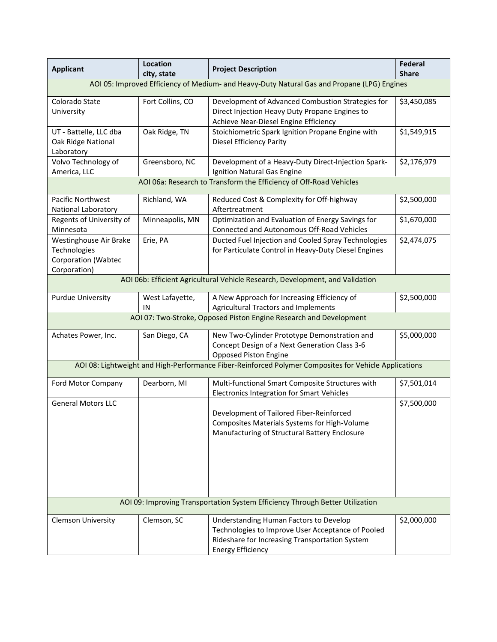| <b>Applicant</b>                                                                            | Location<br>city, state | <b>Project Description</b>                                                                                                                                                | <b>Federal</b><br><b>Share</b> |  |  |  |
|---------------------------------------------------------------------------------------------|-------------------------|---------------------------------------------------------------------------------------------------------------------------------------------------------------------------|--------------------------------|--|--|--|
| AOI 05: Improved Efficiency of Medium- and Heavy-Duty Natural Gas and Propane (LPG) Engines |                         |                                                                                                                                                                           |                                |  |  |  |
| Colorado State<br>University                                                                | Fort Collins, CO        | Development of Advanced Combustion Strategies for<br>Direct Injection Heavy Duty Propane Engines to<br>Achieve Near-Diesel Engine Efficiency                              | \$3,450,085                    |  |  |  |
| UT - Battelle, LLC dba<br>Oak Ridge National<br>Laboratory                                  | Oak Ridge, TN           | Stoichiometric Spark Ignition Propane Engine with<br>Diesel Efficiency Parity                                                                                             | \$1,549,915                    |  |  |  |
| Volvo Technology of<br>America, LLC                                                         | Greensboro, NC          | Development of a Heavy-Duty Direct-Injection Spark-<br>Ignition Natural Gas Engine                                                                                        | \$2,176,979                    |  |  |  |
|                                                                                             |                         | AOI 06a: Research to Transform the Efficiency of Off-Road Vehicles                                                                                                        |                                |  |  |  |
| Pacific Northwest<br>National Laboratory                                                    | Richland, WA            | Reduced Cost & Complexity for Off-highway<br>Aftertreatment                                                                                                               | \$2,500,000                    |  |  |  |
| Regents of University of<br>Minnesota                                                       | Minneapolis, MN         | Optimization and Evaluation of Energy Savings for<br>Connected and Autonomous Off-Road Vehicles                                                                           | \$1,670,000                    |  |  |  |
| Westinghouse Air Brake<br>Technologies<br>Corporation (Wabtec<br>Corporation)               | Erie, PA                | Ducted Fuel Injection and Cooled Spray Technologies<br>for Particulate Control in Heavy-Duty Diesel Engines                                                               | \$2,474,075                    |  |  |  |
|                                                                                             |                         | AOI 06b: Efficient Agricultural Vehicle Research, Development, and Validation                                                                                             |                                |  |  |  |
| <b>Purdue University</b>                                                                    | West Lafayette,<br>IN   | A New Approach for Increasing Efficiency of<br>Agricultural Tractors and Implements                                                                                       | \$2,500,000                    |  |  |  |
|                                                                                             |                         | AOI 07: Two-Stroke, Opposed Piston Engine Research and Development                                                                                                        |                                |  |  |  |
| Achates Power, Inc.                                                                         | San Diego, CA           | New Two-Cylinder Prototype Demonstration and<br>Concept Design of a Next Generation Class 3-6<br>Opposed Piston Engine                                                    | \$5,000,000                    |  |  |  |
|                                                                                             |                         | AOI 08: Lightweight and High-Performance Fiber-Reinforced Polymer Composites for Vehicle Applications                                                                     |                                |  |  |  |
| Ford Motor Company                                                                          | Dearborn, MI            | Multi-functional Smart Composite Structures with<br>Electronics Integration for Smart Vehicles                                                                            | \$7,501,014                    |  |  |  |
| <b>General Motors LLC</b>                                                                   |                         | Development of Tailored Fiber-Reinforced<br>Composites Materials Systems for High-Volume<br>Manufacturing of Structural Battery Enclosure                                 | \$7,500,000                    |  |  |  |
| AOI 09: Improving Transportation System Efficiency Through Better Utilization               |                         |                                                                                                                                                                           |                                |  |  |  |
| <b>Clemson University</b>                                                                   | Clemson, SC             | Understanding Human Factors to Develop<br>Technologies to Improve User Acceptance of Pooled<br>Rideshare for Increasing Transportation System<br><b>Energy Efficiency</b> | \$2,000,000                    |  |  |  |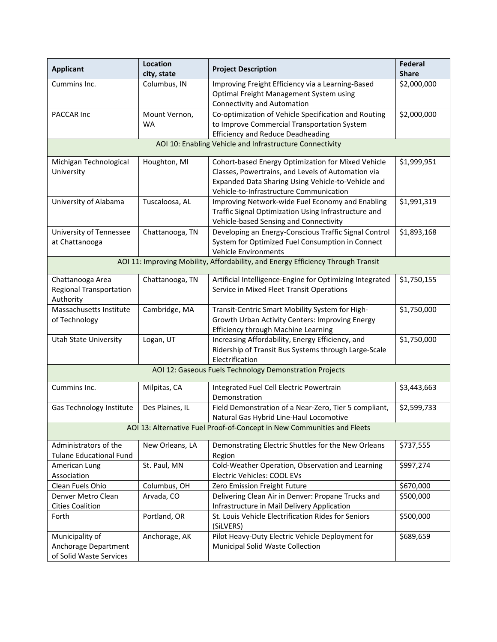| <b>Applicant</b>                                                   | Location<br>city, state                                  | <b>Project Description</b>                                                                                                                                                                                | Federal<br><b>Share</b> |  |  |  |
|--------------------------------------------------------------------|----------------------------------------------------------|-----------------------------------------------------------------------------------------------------------------------------------------------------------------------------------------------------------|-------------------------|--|--|--|
| Cummins Inc.                                                       | Columbus, IN                                             | Improving Freight Efficiency via a Learning-Based<br>Optimal Freight Management System using<br><b>Connectivity and Automation</b>                                                                        | \$2,000,000             |  |  |  |
| PACCAR Inc                                                         | Mount Vernon,<br><b>WA</b>                               | Co-optimization of Vehicle Specification and Routing<br>to Improve Commercial Transportation System<br><b>Efficiency and Reduce Deadheading</b>                                                           | \$2,000,000             |  |  |  |
|                                                                    | AOI 10: Enabling Vehicle and Infrastructure Connectivity |                                                                                                                                                                                                           |                         |  |  |  |
| Michigan Technological<br>University                               | Houghton, MI                                             | Cohort-based Energy Optimization for Mixed Vehicle<br>Classes, Powertrains, and Levels of Automation via<br>Expanded Data Sharing Using Vehicle-to-Vehicle and<br>Vehicle-to-Infrastructure Communication | \$1,999,951             |  |  |  |
| University of Alabama                                              | Tuscaloosa, AL                                           | Improving Network-wide Fuel Economy and Enabling<br>Traffic Signal Optimization Using Infrastructure and<br>Vehicle-based Sensing and Connectivity                                                        | \$1,991,319             |  |  |  |
| University of Tennessee<br>at Chattanooga                          | Chattanooga, TN                                          | Developing an Energy-Conscious Traffic Signal Control<br>System for Optimized Fuel Consumption in Connect<br><b>Vehicle Environments</b>                                                                  | \$1,893,168             |  |  |  |
|                                                                    |                                                          | AOI 11: Improving Mobility, Affordability, and Energy Efficiency Through Transit                                                                                                                          |                         |  |  |  |
| Chattanooga Area<br><b>Regional Transportation</b><br>Authority    | Chattanooga, TN                                          | Artificial Intelligence-Engine for Optimizing Integrated<br>Service in Mixed Fleet Transit Operations                                                                                                     | \$1,750,155             |  |  |  |
| Massachusetts Institute<br>of Technology                           | Cambridge, MA                                            | Transit-Centric Smart Mobility System for High-<br>Growth Urban Activity Centers: Improving Energy<br>Efficiency through Machine Learning                                                                 | \$1,750,000             |  |  |  |
| <b>Utah State University</b>                                       | Logan, UT                                                | Increasing Affordability, Energy Efficiency, and<br>Ridership of Transit Bus Systems through Large-Scale<br>Electrification                                                                               | \$1,750,000             |  |  |  |
|                                                                    |                                                          | AOI 12: Gaseous Fuels Technology Demonstration Projects                                                                                                                                                   |                         |  |  |  |
| Cummins Inc.                                                       | Milpitas, CA                                             | Integrated Fuel Cell Electric Powertrain<br>Demonstration                                                                                                                                                 | \$3,443,663             |  |  |  |
| Gas Technology Institute                                           | Des Plaines, IL                                          | Field Demonstration of a Near-Zero, Tier 5 compliant,<br>Natural Gas Hybrid Line-Haul Locomotive                                                                                                          | \$2,599,733             |  |  |  |
|                                                                    |                                                          | AOI 13: Alternative Fuel Proof-of-Concept in New Communities and Fleets                                                                                                                                   |                         |  |  |  |
| Administrators of the<br><b>Tulane Educational Fund</b>            | New Orleans, LA                                          | Demonstrating Electric Shuttles for the New Orleans<br>Region                                                                                                                                             | \$737,555               |  |  |  |
| American Lung<br>Association                                       | St. Paul, MN                                             | Cold-Weather Operation, Observation and Learning<br>Electric Vehicles: COOL EVs                                                                                                                           | \$997,274               |  |  |  |
| Clean Fuels Ohio                                                   | Columbus, OH                                             | Zero Emission Freight Future                                                                                                                                                                              | \$670,000               |  |  |  |
| Denver Metro Clean<br><b>Cities Coalition</b>                      | Arvada, CO                                               | Delivering Clean Air in Denver: Propane Trucks and<br>Infrastructure in Mail Delivery Application                                                                                                         | \$500,000               |  |  |  |
| Forth                                                              | Portland, OR                                             | St. Louis Vehicle Electrification Rides for Seniors<br>(SiLVERS)                                                                                                                                          | \$500,000               |  |  |  |
| Municipality of<br>Anchorage Department<br>of Solid Waste Services | Anchorage, AK                                            | Pilot Heavy-Duty Electric Vehicle Deployment for<br>Municipal Solid Waste Collection                                                                                                                      | \$689,659               |  |  |  |